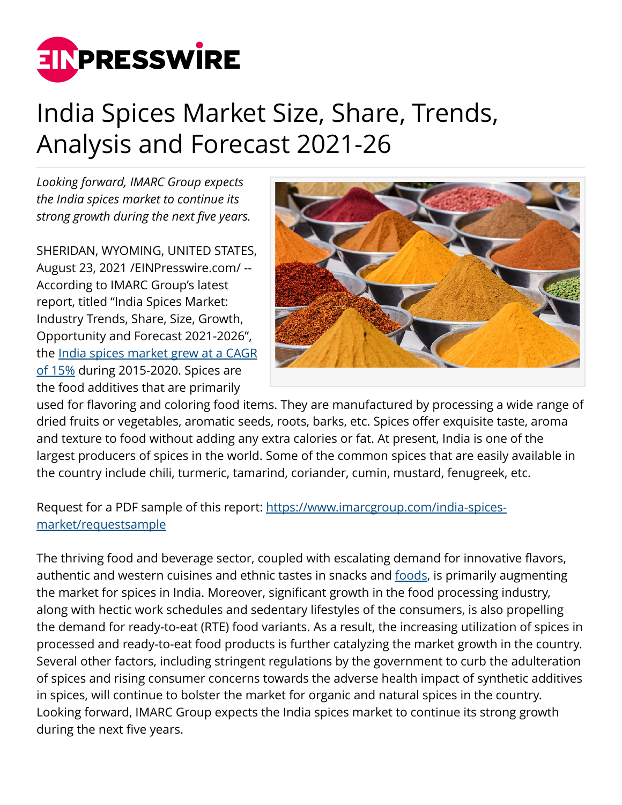

## India Spices Market Size, Share, Trends, Analysis and Forecast 2021-26

*Looking forward, IMARC Group expects the India spices market to continue its strong growth during the next five years.*

SHERIDAN, WYOMING, UNITED STATES, August 23, 2021 /[EINPresswire.com/](http://www.einpresswire.com) -- According to IMARC Group's latest report, titled "India Spices Market: Industry Trends, Share, Size, Growth, Opportunity and Forecast 2021-2026", the [India spices market grew at a CAGR](https://www.imarcgroup.com/india-spices-market) [of 15%](https://www.imarcgroup.com/india-spices-market) during 2015-2020. Spices are the food additives that are primarily



used for flavoring and coloring food items. They are manufactured by processing a wide range of dried fruits or vegetables, aromatic seeds, roots, barks, etc. Spices offer exquisite taste, aroma and texture to food without adding any extra calories or fat. At present, India is one of the largest producers of spices in the world. Some of the common spices that are easily available in the country include chili, turmeric, tamarind, coriander, cumin, mustard, fenugreek, etc.

Request for a PDF sample of this report: [https://www.imarcgroup.com/india-spices](https://www.imarcgroup.com/india-spices-market/requestsample)[market/requestsample](https://www.imarcgroup.com/india-spices-market/requestsample)

The thriving food and beverage sector, coupled with escalating demand for innovative flavors, authentic and western cuisines and ethnic tastes in snacks and [foods,](https://www.imarcgroup.com/dog-food-manufacturing-plant) is primarily augmenting the market for spices in India. Moreover, significant growth in the food processing industry, along with hectic work schedules and sedentary lifestyles of the consumers, is also propelling the demand for ready-to-eat (RTE) food variants. As a result, the increasing utilization of spices in processed and ready-to-eat food products is further catalyzing the market growth in the country. Several other factors, including stringent regulations by the government to curb the adulteration of spices and rising consumer concerns towards the adverse health impact of synthetic additives in spices, will continue to bolster the market for organic and natural spices in the country. Looking forward, IMARC Group expects the India spices market to continue its strong growth during the next five years.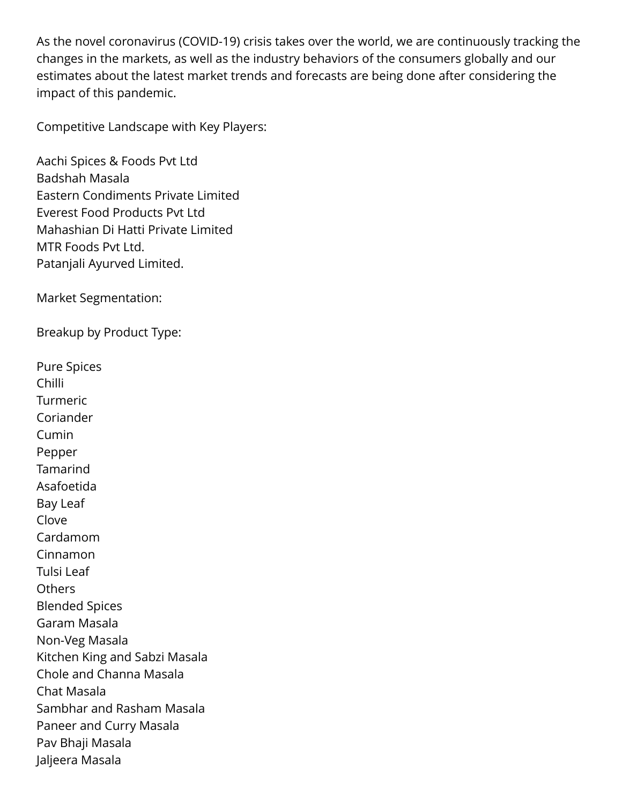As the novel coronavirus (COVID-19) crisis takes over the world, we are continuously tracking the changes in the markets, as well as the industry behaviors of the consumers globally and our estimates about the latest market trends and forecasts are being done after considering the impact of this pandemic.

Competitive Landscape with Key Players:

Aachi Spices & Foods Pvt Ltd Badshah Masala Eastern Condiments Private Limited Everest Food Products Pvt Ltd Mahashian Di Hatti Private Limited MTR Foods Pvt Ltd. Patanjali Ayurved Limited.

Market Segmentation:

Breakup by Product Type:

Pure Spices Chilli Turmeric Coriander Cumin Pepper Tamarind Asafoetida Bay Leaf Clove Cardamom Cinnamon Tulsi Leaf **Others** Blended Spices Garam Masala Non-Veg Masala Kitchen King and Sabzi Masala Chole and Channa Masala Chat Masala Sambhar and Rasham Masala Paneer and Curry Masala Pav Bhaji Masala Jaljeera Masala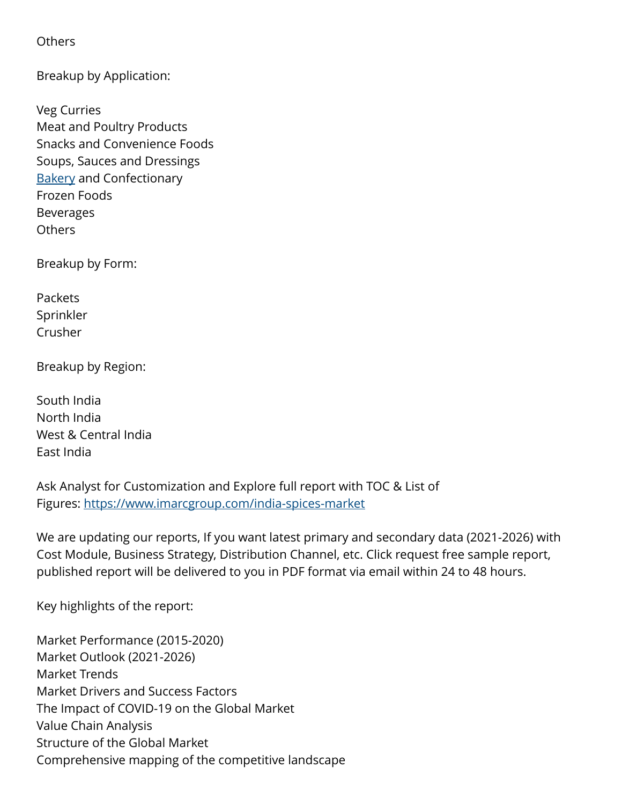**Others** 

Breakup by Application:

Veg Curries Meat and Poultry Products Snacks and Convenience Foods Soups, Sauces and Dressings **[Bakery](https://www.imarcgroup.com/gcc-bakery-products-market) and Confectionary** Frozen Foods Beverages **Others** 

Breakup by Form:

Packets Sprinkler Crusher

Breakup by Region:

South India North India West & Central India East India

Ask Analyst for Customization and Explore full report with TOC & List of Figures: <https://www.imarcgroup.com/india-spices-market>

We are updating our reports, If you want latest primary and secondary data (2021-2026) with Cost Module, Business Strategy, Distribution Channel, etc. Click request free sample report, published report will be delivered to you in PDF format via email within 24 to 48 hours.

Key highlights of the report:

Market Performance (2015-2020) Market Outlook (2021-2026) Market Trends Market Drivers and Success Factors The Impact of COVID-19 on the Global Market Value Chain Analysis Structure of the Global Market Comprehensive mapping of the competitive landscape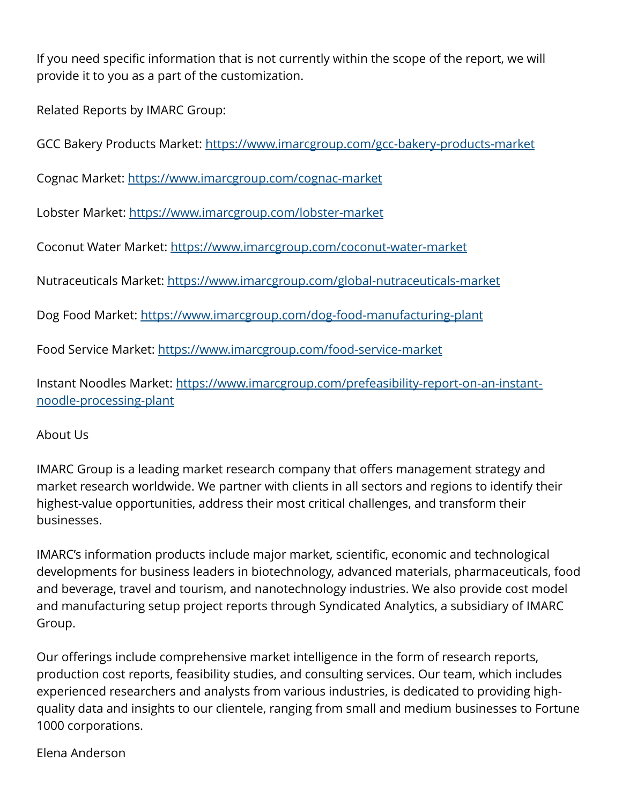If you need specific information that is not currently within the scope of the report, we will provide it to you as a part of the customization.

Related Reports by IMARC Group:

GCC Bakery Products Market:<https://www.imarcgroup.com/gcc-bakery-products-market>

Cognac Market: <https://www.imarcgroup.com/cognac-market>

Lobster Market:<https://www.imarcgroup.com/lobster-market>

Coconut Water Market:<https://www.imarcgroup.com/coconut-water-market>

Nutraceuticals Market: <https://www.imarcgroup.com/global-nutraceuticals-market>

Dog Food Market: <https://www.imarcgroup.com/dog-food-manufacturing-plant>

Food Service Market: <https://www.imarcgroup.com/food-service-market>

Instant Noodles Market: [https://www.imarcgroup.com/prefeasibility-report-on-an-instant](https://www.imarcgroup.com/prefeasibility-report-on-an-instant-noodle-processing-plant)[noodle-processing-plant](https://www.imarcgroup.com/prefeasibility-report-on-an-instant-noodle-processing-plant)

About Us

IMARC Group is a leading market research company that offers management strategy and market research worldwide. We partner with clients in all sectors and regions to identify their highest-value opportunities, address their most critical challenges, and transform their businesses.

IMARC's information products include major market, scientific, economic and technological developments for business leaders in biotechnology, advanced materials, pharmaceuticals, food and beverage, travel and tourism, and nanotechnology industries. We also provide cost model and manufacturing setup project reports through Syndicated Analytics, a subsidiary of IMARC Group.

Our offerings include comprehensive market intelligence in the form of research reports, production cost reports, feasibility studies, and consulting services. Our team, which includes experienced researchers and analysts from various industries, is dedicated to providing highquality data and insights to our clientele, ranging from small and medium businesses to Fortune 1000 corporations.

Elena Anderson